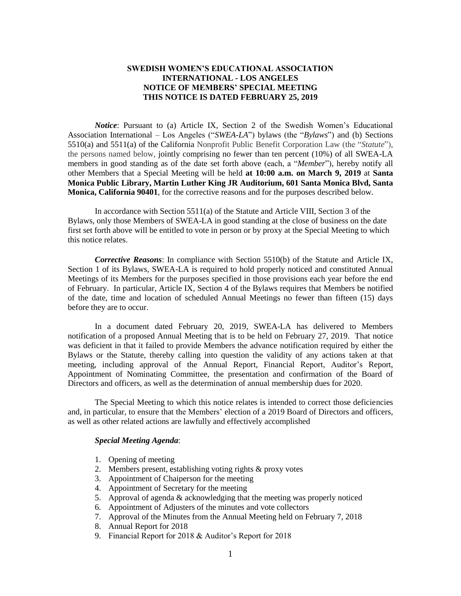## **SWEDISH WOMEN'S EDUCATIONAL ASSOCIATION INTERNATIONAL - LOS ANGELES NOTICE OF MEMBERS' SPECIAL MEETING THIS NOTICE IS DATED FEBRUARY 25, 2019**

*Notice*: Pursuant to (a) Article IX, Section 2 of the Swedish Women's Educational Association International – Los Angeles ("*SWEA-LA*") bylaws (the "*Bylaws*") and (b) Sections 5510(a) and 5511(a) of the California Nonprofit Public Benefit Corporation Law (the "*Statute*"), the persons named below, jointly comprising no fewer than ten percent (10%) of all SWEA-LA members in good standing as of the date set forth above (each, a "*Member*"), hereby notify all other Members that a Special Meeting will be held **at 10:00 a.m. on March 9, 2019** at **Santa Monica Public Library, Martin Luther King JR Auditorium, 601 Santa Monica Blvd, Santa Monica, California 90401**, for the corrective reasons and for the purposes described below.

In accordance with Section 5511(a) of the Statute and Article VIII, Section 3 of the Bylaws, only those Members of SWEA-LA in good standing at the close of business on the date first set forth above will be entitled to vote in person or by proxy at the Special Meeting to which this notice relates.

*Corrective Reasons*: In compliance with Section 5510(b) of the Statute and Article IX, Section 1 of its Bylaws, SWEA-LA is required to hold properly noticed and constituted Annual Meetings of its Members for the purposes specified in those provisions each year before the end of February. In particular, Article IX, Section 4 of the Bylaws requires that Members be notified of the date, time and location of scheduled Annual Meetings no fewer than fifteen (15) days before they are to occur.

In a document dated February 20, 2019, SWEA-LA has delivered to Members notification of a proposed Annual Meeting that is to be held on February 27, 2019. That notice was deficient in that it failed to provide Members the advance notification required by either the Bylaws or the Statute, thereby calling into question the validity of any actions taken at that meeting, including approval of the Annual Report, Financial Report, Auditor's Report, Appointment of Nominating Committee, the presentation and confirmation of the Board of Directors and officers, as well as the determination of annual membership dues for 2020.

The Special Meeting to which this notice relates is intended to correct those deficiencies and, in particular, to ensure that the Members' election of a 2019 Board of Directors and officers, as well as other related actions are lawfully and effectively accomplished

## *Special Meeting Agenda*:

- 1. Opening of meeting
- 2. Members present, establishing voting rights & proxy votes
- 3. Appointment of Chaiperson for the meeting
- 4. Appointment of Secretary for the meeting
- 5. Approval of agenda & acknowledging that the meeting was properly noticed
- 6. Appointment of Adjusters of the minutes and vote collectors
- 7. Approval of the Minutes from the Annual Meeting held on February 7, 2018
- 8. Annual Report for 2018
- 9. Financial Report for 2018 & Auditor's Report for 2018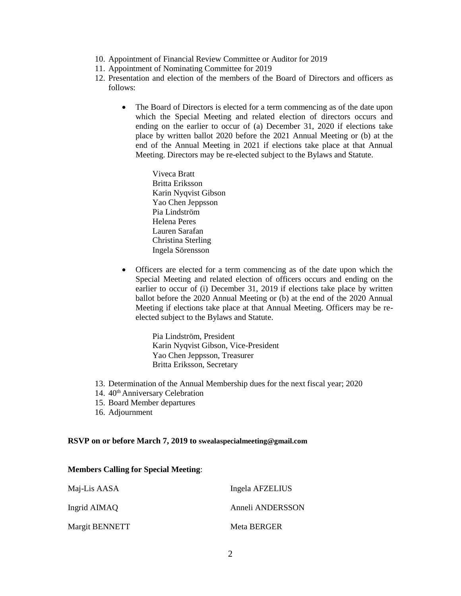- 10. Appointment of Financial Review Committee or Auditor for 2019
- 11. Appointment of Nominating Committee for 2019
- 12. Presentation and election of the members of the Board of Directors and officers as follows:
	- The Board of Directors is elected for a term commencing as of the date upon which the Special Meeting and related election of directors occurs and ending on the earlier to occur of (a) December 31, 2020 if elections take place by written ballot 2020 before the 2021 Annual Meeting or (b) at the end of the Annual Meeting in 2021 if elections take place at that Annual Meeting. Directors may be re-elected subject to the Bylaws and Statute.
		- Viveca Bratt Britta Eriksson Karin Nyqvist Gibson Yao Chen Jeppsson Pia Lindström Helena Peres Lauren Sarafan Christina Sterling Ingela Sörensson
	- Officers are elected for a term commencing as of the date upon which the Special Meeting and related election of officers occurs and ending on the earlier to occur of (i) December 31, 2019 if elections take place by written ballot before the 2020 Annual Meeting or (b) at the end of the 2020 Annual Meeting if elections take place at that Annual Meeting. Officers may be reelected subject to the Bylaws and Statute.

Pia Lindström, President Karin Nyqvist Gibson, Vice-President Yao Chen Jeppsson, Treasurer Britta Eriksson, Secretary

- 13. Determination of the Annual Membership dues for the next fiscal year; 2020
- 14. 40<sup>th</sup> Anniversary Celebration
- 15. Board Member departures
- 16. Adjournment

## **RSVP on or before March 7, 2019 to swealaspecialmeeting@gmail.com**

## **Members Calling for Special Meeting**:

| Maj-Lis AASA   | Ingela AFZELIUS  |
|----------------|------------------|
| Ingrid AIMAQ   | Anneli ANDERSSON |
| Margit BENNETT | Meta BERGER      |